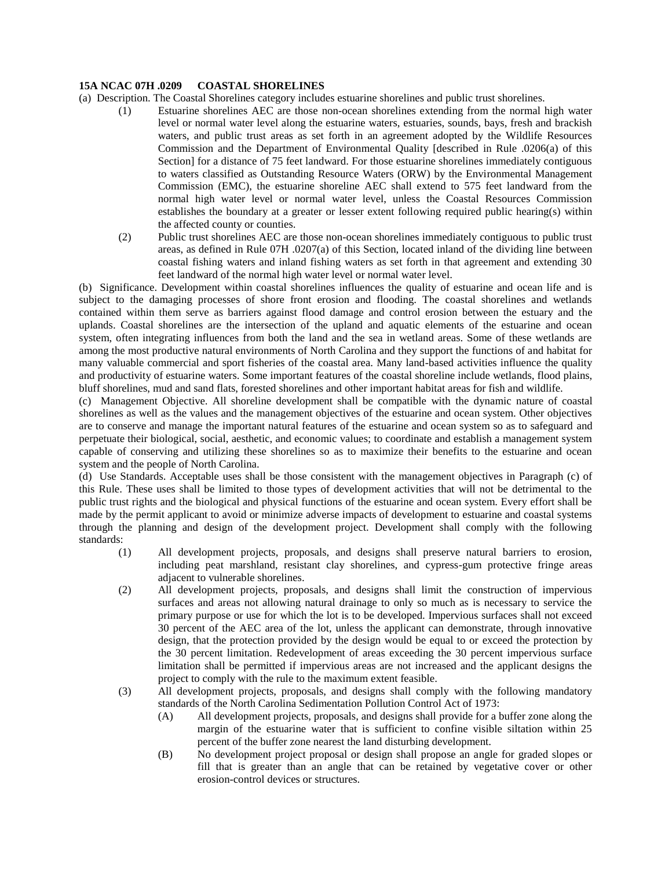## **15A NCAC 07H .0209 COASTAL SHORELINES**

- (a) Description. The Coastal Shorelines category includes estuarine shorelines and public trust shorelines.
	- (1) Estuarine shorelines AEC are those non-ocean shorelines extending from the normal high water level or normal water level along the estuarine waters, estuaries, sounds, bays, fresh and brackish waters, and public trust areas as set forth in an agreement adopted by the Wildlife Resources Commission and the Department of Environmental Quality [described in Rule .0206(a) of this Section] for a distance of 75 feet landward. For those estuarine shorelines immediately contiguous to waters classified as Outstanding Resource Waters (ORW) by the Environmental Management Commission (EMC), the estuarine shoreline AEC shall extend to 575 feet landward from the normal high water level or normal water level, unless the Coastal Resources Commission establishes the boundary at a greater or lesser extent following required public hearing(s) within the affected county or counties.
	- (2) Public trust shorelines AEC are those non-ocean shorelines immediately contiguous to public trust areas, as defined in Rule 07H .0207(a) of this Section, located inland of the dividing line between coastal fishing waters and inland fishing waters as set forth in that agreement and extending 30 feet landward of the normal high water level or normal water level.

(b) Significance. Development within coastal shorelines influences the quality of estuarine and ocean life and is subject to the damaging processes of shore front erosion and flooding. The coastal shorelines and wetlands contained within them serve as barriers against flood damage and control erosion between the estuary and the uplands. Coastal shorelines are the intersection of the upland and aquatic elements of the estuarine and ocean system, often integrating influences from both the land and the sea in wetland areas. Some of these wetlands are among the most productive natural environments of North Carolina and they support the functions of and habitat for many valuable commercial and sport fisheries of the coastal area. Many land-based activities influence the quality and productivity of estuarine waters. Some important features of the coastal shoreline include wetlands, flood plains, bluff shorelines, mud and sand flats, forested shorelines and other important habitat areas for fish and wildlife.

(c) Management Objective. All shoreline development shall be compatible with the dynamic nature of coastal shorelines as well as the values and the management objectives of the estuarine and ocean system. Other objectives are to conserve and manage the important natural features of the estuarine and ocean system so as to safeguard and perpetuate their biological, social, aesthetic, and economic values; to coordinate and establish a management system capable of conserving and utilizing these shorelines so as to maximize their benefits to the estuarine and ocean system and the people of North Carolina.

(d) Use Standards. Acceptable uses shall be those consistent with the management objectives in Paragraph (c) of this Rule. These uses shall be limited to those types of development activities that will not be detrimental to the public trust rights and the biological and physical functions of the estuarine and ocean system. Every effort shall be made by the permit applicant to avoid or minimize adverse impacts of development to estuarine and coastal systems through the planning and design of the development project. Development shall comply with the following standards:

- (1) All development projects, proposals, and designs shall preserve natural barriers to erosion, including peat marshland, resistant clay shorelines, and cypress-gum protective fringe areas adjacent to vulnerable shorelines.
- (2) All development projects, proposals, and designs shall limit the construction of impervious surfaces and areas not allowing natural drainage to only so much as is necessary to service the primary purpose or use for which the lot is to be developed. Impervious surfaces shall not exceed 30 percent of the AEC area of the lot, unless the applicant can demonstrate, through innovative design, that the protection provided by the design would be equal to or exceed the protection by the 30 percent limitation. Redevelopment of areas exceeding the 30 percent impervious surface limitation shall be permitted if impervious areas are not increased and the applicant designs the project to comply with the rule to the maximum extent feasible.
- (3) All development projects, proposals, and designs shall comply with the following mandatory standards of the North Carolina Sedimentation Pollution Control Act of 1973:
	- (A) All development projects, proposals, and designs shall provide for a buffer zone along the margin of the estuarine water that is sufficient to confine visible siltation within 25 percent of the buffer zone nearest the land disturbing development.
	- (B) No development project proposal or design shall propose an angle for graded slopes or fill that is greater than an angle that can be retained by vegetative cover or other erosion-control devices or structures.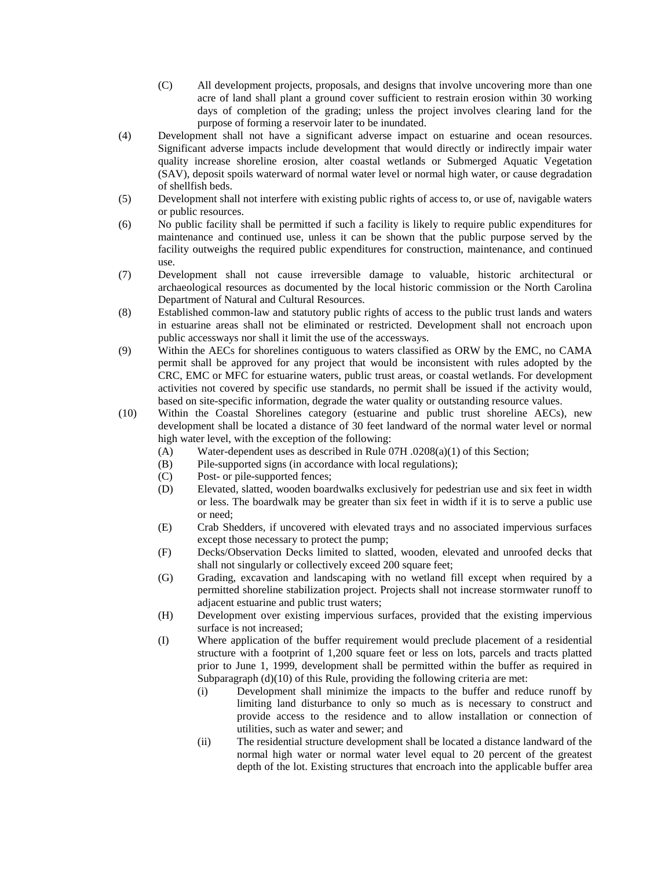- (C) All development projects, proposals, and designs that involve uncovering more than one acre of land shall plant a ground cover sufficient to restrain erosion within 30 working days of completion of the grading; unless the project involves clearing land for the purpose of forming a reservoir later to be inundated.
- (4) Development shall not have a significant adverse impact on estuarine and ocean resources. Significant adverse impacts include development that would directly or indirectly impair water quality increase shoreline erosion, alter coastal wetlands or Submerged Aquatic Vegetation (SAV), deposit spoils waterward of normal water level or normal high water, or cause degradation of shellfish beds.
- (5) Development shall not interfere with existing public rights of access to, or use of, navigable waters or public resources.
- (6) No public facility shall be permitted if such a facility is likely to require public expenditures for maintenance and continued use, unless it can be shown that the public purpose served by the facility outweighs the required public expenditures for construction, maintenance, and continued use.
- (7) Development shall not cause irreversible damage to valuable, historic architectural or archaeological resources as documented by the local historic commission or the North Carolina Department of Natural and Cultural Resources.
- (8) Established common-law and statutory public rights of access to the public trust lands and waters in estuarine areas shall not be eliminated or restricted. Development shall not encroach upon public accessways nor shall it limit the use of the accessways.
- (9) Within the AECs for shorelines contiguous to waters classified as ORW by the EMC, no CAMA permit shall be approved for any project that would be inconsistent with rules adopted by the CRC, EMC or MFC for estuarine waters, public trust areas, or coastal wetlands. For development activities not covered by specific use standards, no permit shall be issued if the activity would, based on site-specific information, degrade the water quality or outstanding resource values.
- (10) Within the Coastal Shorelines category (estuarine and public trust shoreline AECs), new development shall be located a distance of 30 feet landward of the normal water level or normal high water level, with the exception of the following:
	- (A) Water-dependent uses as described in Rule 07H .0208(a)(1) of this Section;
	- (B) Pile-supported signs (in accordance with local regulations);
	- (C) Post- or pile-supported fences;
	- (D) Elevated, slatted, wooden boardwalks exclusively for pedestrian use and six feet in width or less. The boardwalk may be greater than six feet in width if it is to serve a public use or need;
	- (E) Crab Shedders, if uncovered with elevated trays and no associated impervious surfaces except those necessary to protect the pump;
	- (F) Decks/Observation Decks limited to slatted, wooden, elevated and unroofed decks that shall not singularly or collectively exceed 200 square feet;
	- (G) Grading, excavation and landscaping with no wetland fill except when required by a permitted shoreline stabilization project. Projects shall not increase stormwater runoff to adjacent estuarine and public trust waters;
	- (H) Development over existing impervious surfaces, provided that the existing impervious surface is not increased;
	- (I) Where application of the buffer requirement would preclude placement of a residential structure with a footprint of 1,200 square feet or less on lots, parcels and tracts platted prior to June 1, 1999, development shall be permitted within the buffer as required in Subparagraph (d)(10) of this Rule, providing the following criteria are met:
		- (i) Development shall minimize the impacts to the buffer and reduce runoff by limiting land disturbance to only so much as is necessary to construct and provide access to the residence and to allow installation or connection of utilities, such as water and sewer; and
		- (ii) The residential structure development shall be located a distance landward of the normal high water or normal water level equal to 20 percent of the greatest depth of the lot. Existing structures that encroach into the applicable buffer area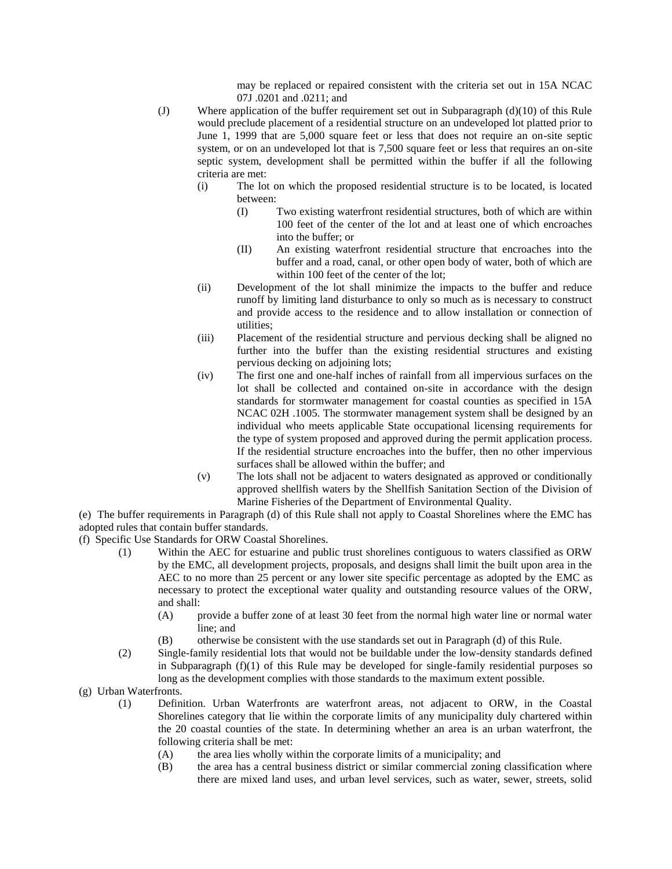may be replaced or repaired consistent with the criteria set out in 15A NCAC 07J .0201 and .0211; and

- (J) Where application of the buffer requirement set out in Subparagraph (d)(10) of this Rule would preclude placement of a residential structure on an undeveloped lot platted prior to June 1, 1999 that are 5,000 square feet or less that does not require an on-site septic system, or on an undeveloped lot that is 7,500 square feet or less that requires an on-site septic system, development shall be permitted within the buffer if all the following criteria are met:
	- (i) The lot on which the proposed residential structure is to be located, is located between:
		- (I) Two existing waterfront residential structures, both of which are within 100 feet of the center of the lot and at least one of which encroaches into the buffer; or
		- (II) An existing waterfront residential structure that encroaches into the buffer and a road, canal, or other open body of water, both of which are within 100 feet of the center of the lot;
	- (ii) Development of the lot shall minimize the impacts to the buffer and reduce runoff by limiting land disturbance to only so much as is necessary to construct and provide access to the residence and to allow installation or connection of utilities;
	- (iii) Placement of the residential structure and pervious decking shall be aligned no further into the buffer than the existing residential structures and existing pervious decking on adjoining lots;
	- (iv) The first one and one-half inches of rainfall from all impervious surfaces on the lot shall be collected and contained on-site in accordance with the design standards for stormwater management for coastal counties as specified in 15A NCAC 02H .1005. The stormwater management system shall be designed by an individual who meets applicable State occupational licensing requirements for the type of system proposed and approved during the permit application process. If the residential structure encroaches into the buffer, then no other impervious surfaces shall be allowed within the buffer; and
	- (v) The lots shall not be adjacent to waters designated as approved or conditionally approved shellfish waters by the Shellfish Sanitation Section of the Division of Marine Fisheries of the Department of Environmental Quality.

(e) The buffer requirements in Paragraph (d) of this Rule shall not apply to Coastal Shorelines where the EMC has adopted rules that contain buffer standards.

- (f) Specific Use Standards for ORW Coastal Shorelines.
	- (1) Within the AEC for estuarine and public trust shorelines contiguous to waters classified as ORW by the EMC, all development projects, proposals, and designs shall limit the built upon area in the AEC to no more than 25 percent or any lower site specific percentage as adopted by the EMC as necessary to protect the exceptional water quality and outstanding resource values of the ORW, and shall:
		- (A) provide a buffer zone of at least 30 feet from the normal high water line or normal water line; and
		- (B) otherwise be consistent with the use standards set out in Paragraph (d) of this Rule.
	- (2) Single-family residential lots that would not be buildable under the low-density standards defined in Subparagraph  $(f)(1)$  of this Rule may be developed for single-family residential purposes so long as the development complies with those standards to the maximum extent possible.
- (g) Urban Waterfronts.
	- (1) Definition. Urban Waterfronts are waterfront areas, not adjacent to ORW, in the Coastal Shorelines category that lie within the corporate limits of any municipality duly chartered within the 20 coastal counties of the state. In determining whether an area is an urban waterfront, the following criteria shall be met:
		- (A) the area lies wholly within the corporate limits of a municipality; and
		- (B) the area has a central business district or similar commercial zoning classification where there are mixed land uses, and urban level services, such as water, sewer, streets, solid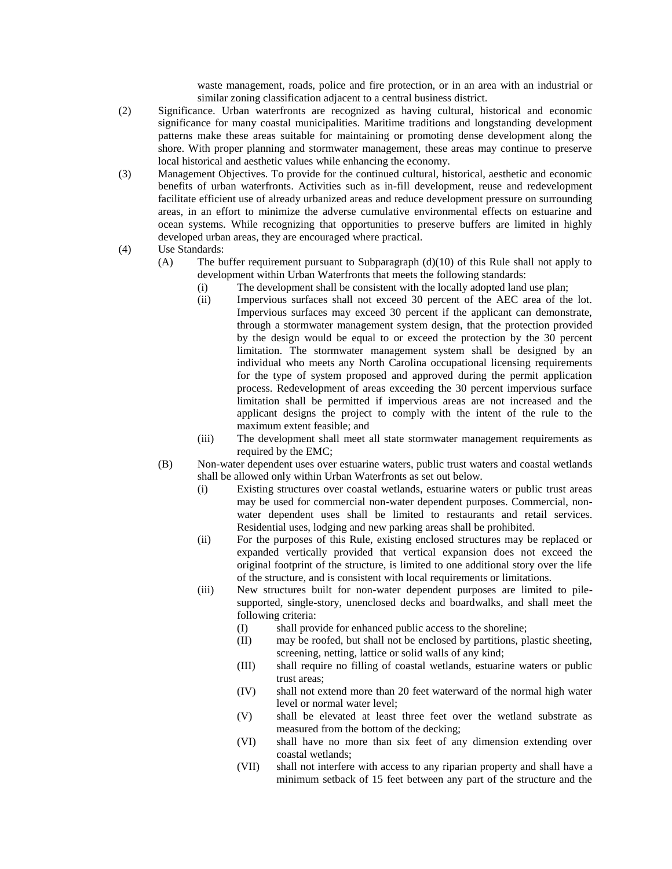waste management, roads, police and fire protection, or in an area with an industrial or similar zoning classification adjacent to a central business district.

- (2) Significance. Urban waterfronts are recognized as having cultural, historical and economic significance for many coastal municipalities. Maritime traditions and longstanding development patterns make these areas suitable for maintaining or promoting dense development along the shore. With proper planning and stormwater management, these areas may continue to preserve local historical and aesthetic values while enhancing the economy.
- (3) Management Objectives. To provide for the continued cultural, historical, aesthetic and economic benefits of urban waterfronts. Activities such as in-fill development, reuse and redevelopment facilitate efficient use of already urbanized areas and reduce development pressure on surrounding areas, in an effort to minimize the adverse cumulative environmental effects on estuarine and ocean systems. While recognizing that opportunities to preserve buffers are limited in highly developed urban areas, they are encouraged where practical.
- (4) Use Standards:
	- (A) The buffer requirement pursuant to Subparagraph (d)(10) of this Rule shall not apply to development within Urban Waterfronts that meets the following standards:
		- (i) The development shall be consistent with the locally adopted land use plan;
		- (ii) Impervious surfaces shall not exceed 30 percent of the AEC area of the lot. Impervious surfaces may exceed 30 percent if the applicant can demonstrate, through a stormwater management system design, that the protection provided by the design would be equal to or exceed the protection by the 30 percent limitation. The stormwater management system shall be designed by an individual who meets any North Carolina occupational licensing requirements for the type of system proposed and approved during the permit application process. Redevelopment of areas exceeding the 30 percent impervious surface limitation shall be permitted if impervious areas are not increased and the applicant designs the project to comply with the intent of the rule to the maximum extent feasible; and
		- (iii) The development shall meet all state stormwater management requirements as required by the EMC;
	- (B) Non-water dependent uses over estuarine waters, public trust waters and coastal wetlands shall be allowed only within Urban Waterfronts as set out below.
		- (i) Existing structures over coastal wetlands, estuarine waters or public trust areas may be used for commercial non-water dependent purposes. Commercial, nonwater dependent uses shall be limited to restaurants and retail services. Residential uses, lodging and new parking areas shall be prohibited.
		- (ii) For the purposes of this Rule, existing enclosed structures may be replaced or expanded vertically provided that vertical expansion does not exceed the original footprint of the structure, is limited to one additional story over the life of the structure, and is consistent with local requirements or limitations.
		- (iii) New structures built for non-water dependent purposes are limited to pilesupported, single-story, unenclosed decks and boardwalks, and shall meet the following criteria:
			- (I) shall provide for enhanced public access to the shoreline;
			- (II) may be roofed, but shall not be enclosed by partitions, plastic sheeting, screening, netting, lattice or solid walls of any kind;
			- (III) shall require no filling of coastal wetlands, estuarine waters or public trust areas;
			- (IV) shall not extend more than 20 feet waterward of the normal high water level or normal water level;
			- (V) shall be elevated at least three feet over the wetland substrate as measured from the bottom of the decking;
			- (VI) shall have no more than six feet of any dimension extending over coastal wetlands;
			- (VII) shall not interfere with access to any riparian property and shall have a minimum setback of 15 feet between any part of the structure and the